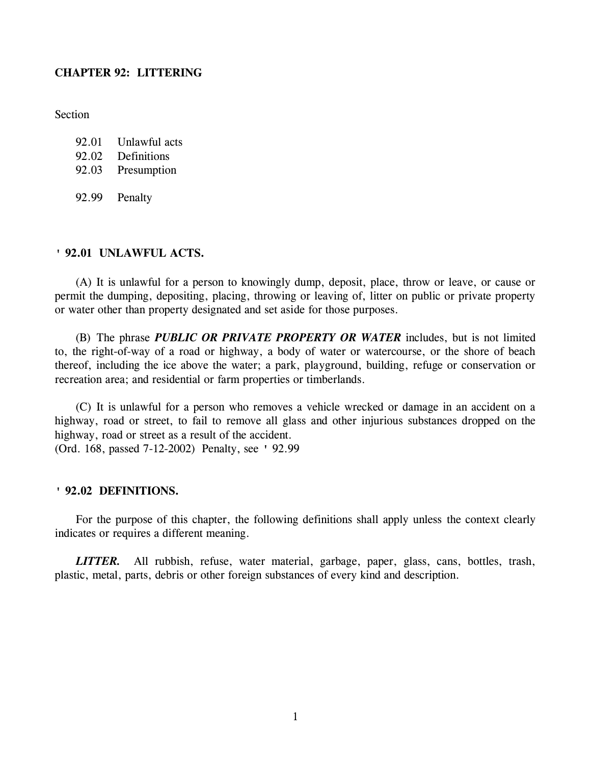## **CHAPTER 92: LITTERING**

**Section** 

- 92.01 Unlawful acts
- 92.02 Definitions
- 92.03 Presumption
- 92.99 Penalty

## **' 92.01 UNLAWFUL ACTS.**

(A) It is unlawful for a person to knowingly dump, deposit, place, throw or leave, or cause or permit the dumping, depositing, placing, throwing or leaving of, litter on public or private property or water other than property designated and set aside for those purposes.

(B) The phrase *PUBLIC OR PRIVATE PROPERTY OR WATER* includes, but is not limited to, the right-of-way of a road or highway, a body of water or watercourse, or the shore of beach thereof, including the ice above the water; a park, playground, building, refuge or conservation or recreation area; and residential or farm properties or timberlands.

(C) It is unlawful for a person who removes a vehicle wrecked or damage in an accident on a highway, road or street, to fail to remove all glass and other injurious substances dropped on the highway, road or street as a result of the accident.

(Ord. 168, passed 7-12-2002) Penalty, see ' 92.99

# **' 92.02 DEFINITIONS.**

For the purpose of this chapter, the following definitions shall apply unless the context clearly indicates or requires a different meaning.

*LITTER.* All rubbish, refuse, water material, garbage, paper, glass, cans, bottles, trash, plastic, metal, parts, debris or other foreign substances of every kind and description.